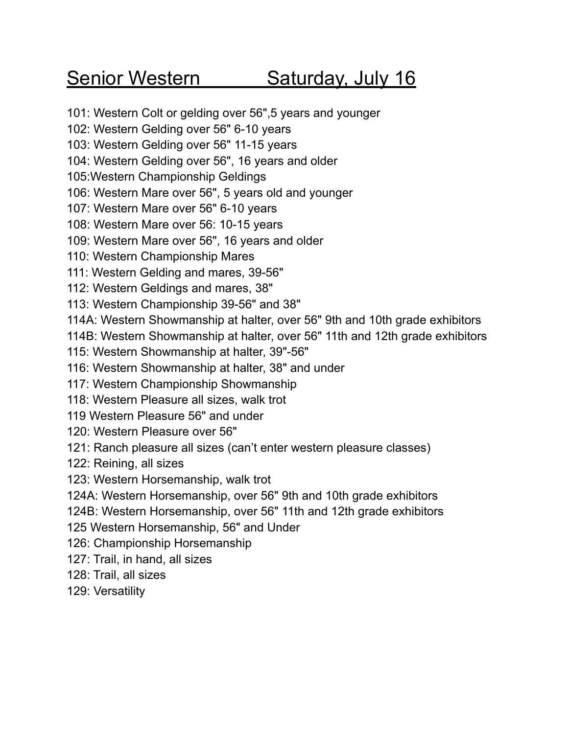# Senior Western Saturday, July 16

101: Western Colt or gelding over 56",5 years and younger

102: Western Gelding over 56" 6-10 years

103: Western Gelding over 56" 11-15 years

104: Western Gelding over 56", 16 years and older

105:Western Championship Geldings

106: Western Mare over 56", 5 years old and younger

107: Western Mare over 56" 6-10 years

108: Western Mare over 56: 10-15 years

109: Western Mare over 56", 16 years and older

110: Western Championship Mares

111: Western Gelding and mares, 39-56"

112: Western Geldings and mares, 38"

113: Western Championship 39-56" and 38"

114A: Western Showmanship at halter, over 56" 9th and 10th grade exhibitors

114B: Western Showmanship at halter, over 56" 11th and 12th grade exhibitors

115: Western Showmanship at halter, 39"-56"

116: Western Showmanship at halter, 38" and under

117: Western Championship Showmanship

118: Western Pleasure all sizes, walk trot

119 Western Pleasure 56" and under

120: Western Pleasure over 56"

121: Ranch pleasure all sizes (can't enter western pleasure classes)

122: Reining, all sizes

123: Western Horsemanship, walk trot

124A: Western Horsemanship, over 56" 9th and 10th grade exhibitors

124B: Western Horsemanship, over 56" 11th and 12th grade exhibitors

125 Western Horsemanship, 56" and Under

126: Championship Horsemanship

127: Trail, in hand, all sizes

128: Trail, all sizes

129: Versatility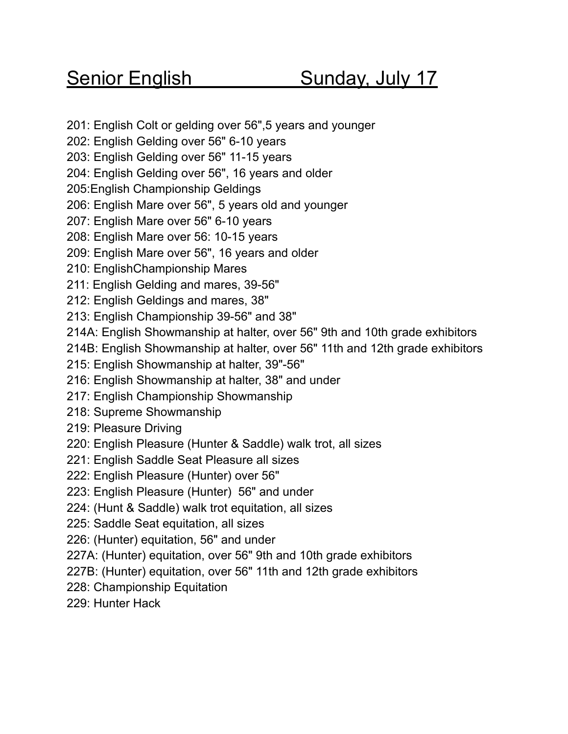### Senior English Sunday, July 17

201: English Colt or gelding over 56",5 years and younger

202: English Gelding over 56" 6-10 years

203: English Gelding over 56" 11-15 years

204: English Gelding over 56", 16 years and older

205:English Championship Geldings

206: English Mare over 56", 5 years old and younger

207: English Mare over 56" 6-10 years

208: English Mare over 56: 10-15 years

209: English Mare over 56", 16 years and older

210: EnglishChampionship Mares

211: English Gelding and mares, 39-56"

212: English Geldings and mares, 38"

213: English Championship 39-56" and 38"

214A: English Showmanship at halter, over 56" 9th and 10th grade exhibitors

214B: English Showmanship at halter, over 56" 11th and 12th grade exhibitors

215: English Showmanship at halter, 39"-56"

216: English Showmanship at halter, 38" and under

217: English Championship Showmanship

218: Supreme Showmanship

219: Pleasure Driving

220: English Pleasure (Hunter & Saddle) walk trot, all sizes

221: English Saddle Seat Pleasure all sizes

- 222: English Pleasure (Hunter) over 56"
- 223: English Pleasure (Hunter) 56" and under
- 224: (Hunt & Saddle) walk trot equitation, all sizes

225: Saddle Seat equitation, all sizes

226: (Hunter) equitation, 56" and under

227A: (Hunter) equitation, over 56" 9th and 10th grade exhibitors

227B: (Hunter) equitation, over 56" 11th and 12th grade exhibitors

228: Championship Equitation

229: Hunter Hack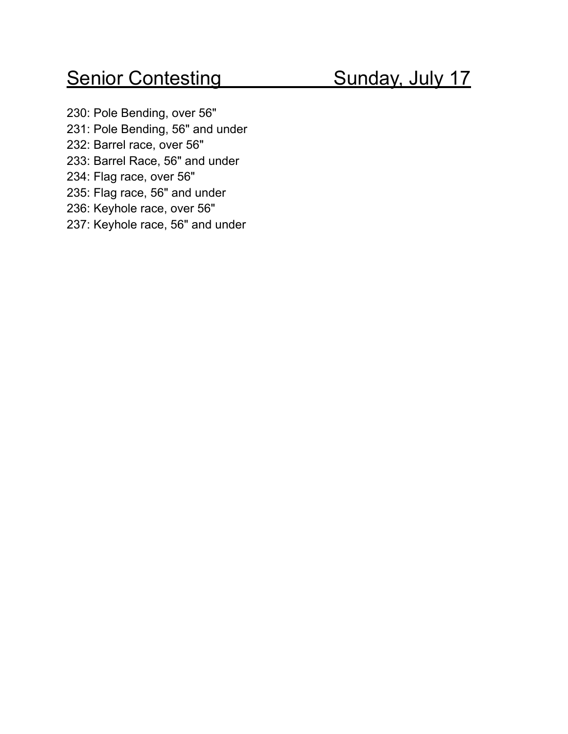## Senior Contesting Sunday, July 17

230: Pole Bending, over 56" 231: Pole Bending, 56" and under 232: Barrel race, over 56" 233: Barrel Race, 56" and under 234: Flag race, over 56" 235: Flag race, 56" and under 236: Keyhole race, over 56" 237: Keyhole race, 56" and under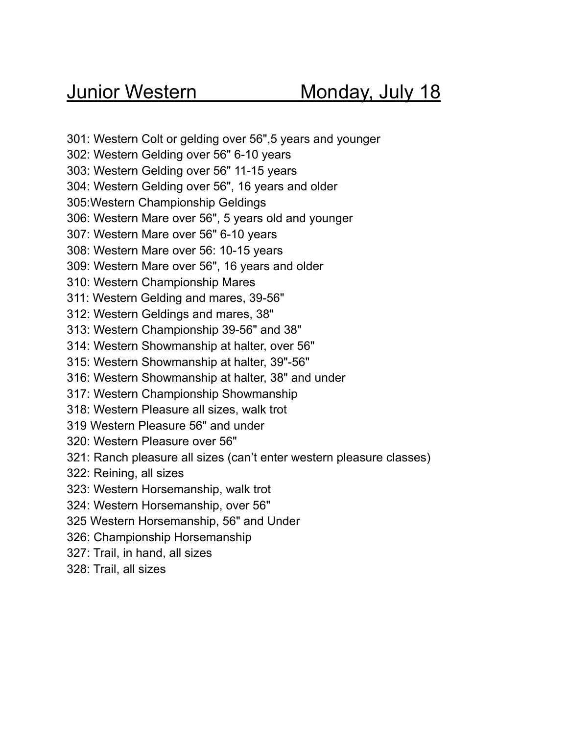301: Western Colt or gelding over 56",5 years and younger

302: Western Gelding over 56" 6-10 years

303: Western Gelding over 56" 11-15 years

304: Western Gelding over 56", 16 years and older

305:Western Championship Geldings

306: Western Mare over 56", 5 years old and younger

307: Western Mare over 56" 6-10 years

308: Western Mare over 56: 10-15 years

309: Western Mare over 56", 16 years and older

310: Western Championship Mares

311: Western Gelding and mares, 39-56"

- 312: Western Geldings and mares, 38"
- 313: Western Championship 39-56" and 38"
- 314: Western Showmanship at halter, over 56"
- 315: Western Showmanship at halter, 39"-56"
- 316: Western Showmanship at halter, 38" and under
- 317: Western Championship Showmanship
- 318: Western Pleasure all sizes, walk trot
- 319 Western Pleasure 56" and under
- 320: Western Pleasure over 56"
- 321: Ranch pleasure all sizes (can't enter western pleasure classes)
- 322: Reining, all sizes
- 323: Western Horsemanship, walk trot
- 324: Western Horsemanship, over 56"
- 325 Western Horsemanship, 56" and Under
- 326: Championship Horsemanship
- 327: Trail, in hand, all sizes
- 328: Trail, all sizes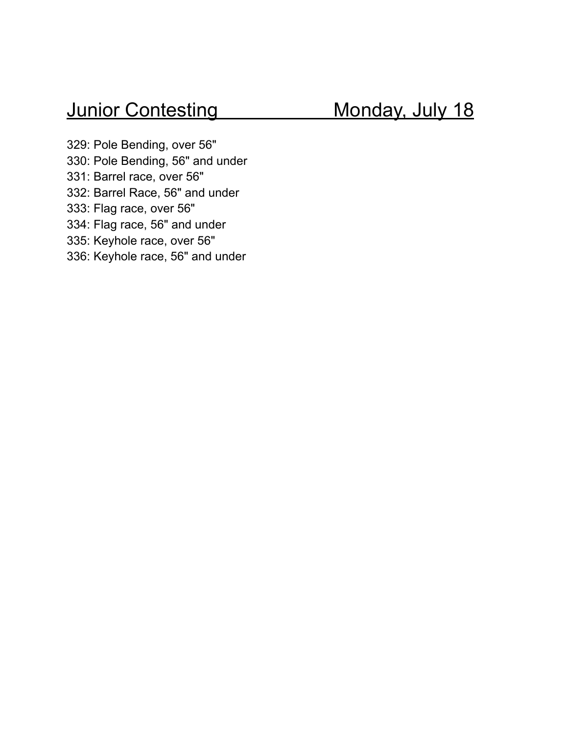329: Pole Bending, over 56" 330: Pole Bending, 56" and under 331: Barrel race, over 56" 332: Barrel Race, 56" and under 333: Flag race, over 56" 334: Flag race, 56" and under 335: Keyhole race, over 56" 336: Keyhole race, 56" and under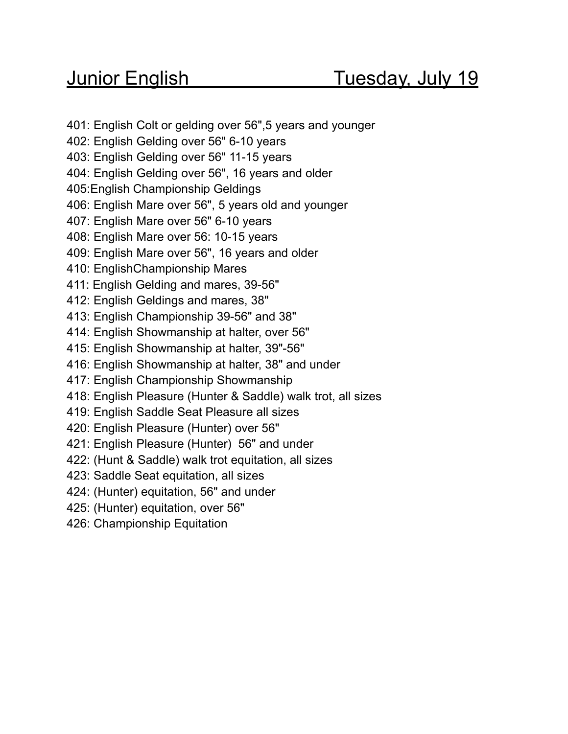401: English Colt or gelding over 56",5 years and younger 402: English Gelding over 56" 6-10 years 403: English Gelding over 56" 11-15 years 404: English Gelding over 56", 16 years and older 405:English Championship Geldings 406: English Mare over 56", 5 years old and younger 407: English Mare over 56" 6-10 years 408: English Mare over 56: 10-15 years 409: English Mare over 56", 16 years and older 410: EnglishChampionship Mares 411: English Gelding and mares, 39-56" 412: English Geldings and mares, 38" 413: English Championship 39-56" and 38" 414: English Showmanship at halter, over 56" 415: English Showmanship at halter, 39"-56" 416: English Showmanship at halter, 38" and under 417: English Championship Showmanship 418: English Pleasure (Hunter & Saddle) walk trot, all sizes 419: English Saddle Seat Pleasure all sizes 420: English Pleasure (Hunter) over 56" 421: English Pleasure (Hunter) 56" and under 422: (Hunt & Saddle) walk trot equitation, all sizes 423: Saddle Seat equitation, all sizes 424: (Hunter) equitation, 56" and under 425: (Hunter) equitation, over 56" 426: Championship Equitation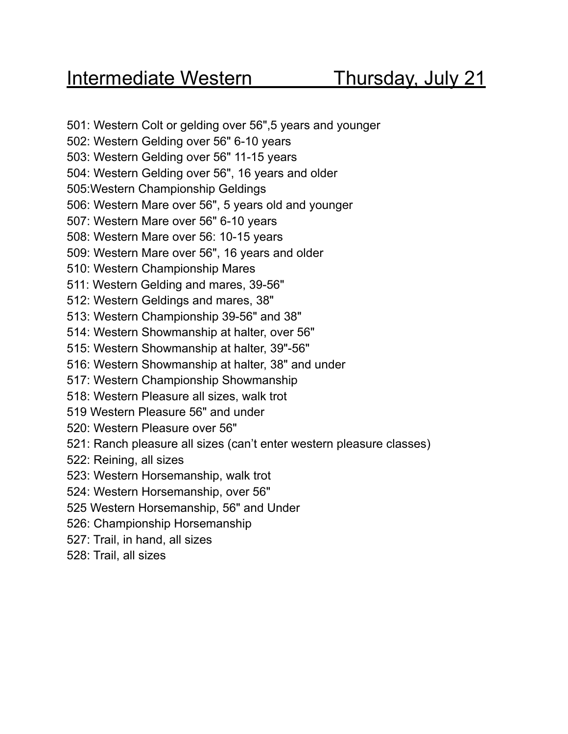501: Western Colt or gelding over 56",5 years and younger 502: Western Gelding over 56" 6-10 years 503: Western Gelding over 56" 11-15 years 504: Western Gelding over 56", 16 years and older 505:Western Championship Geldings 506: Western Mare over 56", 5 years old and younger 507: Western Mare over 56" 6-10 years 508: Western Mare over 56: 10-15 years 509: Western Mare over 56", 16 years and older 510: Western Championship Mares 511: Western Gelding and mares, 39-56" 512: Western Geldings and mares, 38" 513: Western Championship 39-56" and 38" 514: Western Showmanship at halter, over 56" 515: Western Showmanship at halter, 39"-56" 516: Western Showmanship at halter, 38" and under 517: Western Championship Showmanship 518: Western Pleasure all sizes, walk trot 519 Western Pleasure 56" and under 520: Western Pleasure over 56" 521: Ranch pleasure all sizes (can't enter western pleasure classes) 522: Reining, all sizes 523: Western Horsemanship, walk trot 524: Western Horsemanship, over 56" 525 Western Horsemanship, 56" and Under 526: Championship Horsemanship 527: Trail, in hand, all sizes 528: Trail, all sizes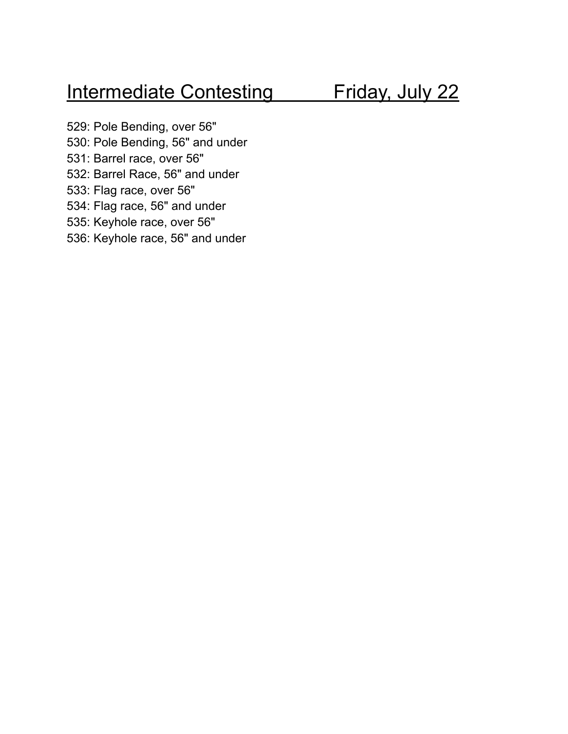## Intermediate Contesting Friday, July 22

529: Pole Bending, over 56" 530: Pole Bending, 56" and under 531: Barrel race, over 56" 532: Barrel Race, 56" and under 533: Flag race, over 56" 534: Flag race, 56" and under 535: Keyhole race, over 56" 536: Keyhole race, 56" and under